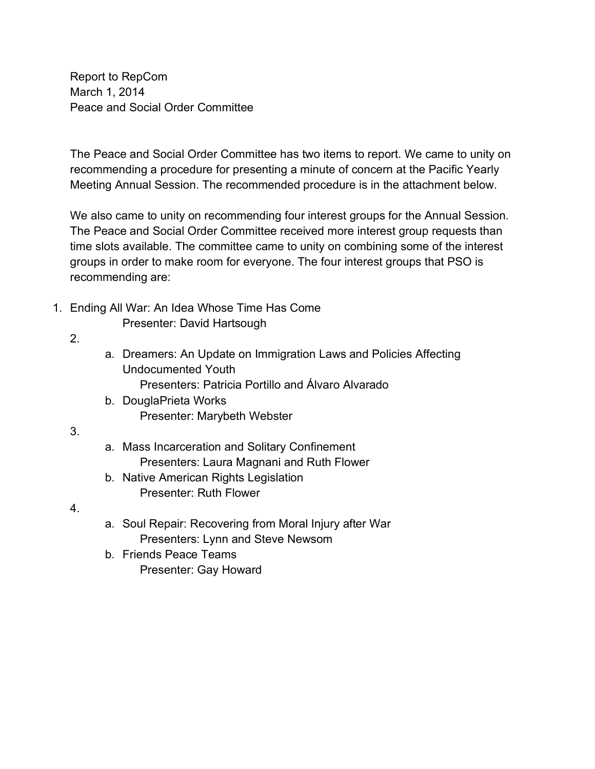Report to RepCom March 1, 2014 Peace and Social Order Committee

The Peace and Social Order Committee has two items to report. We came to unity on recommending a procedure for presenting a minute of concern at the Pacific Yearly Meeting Annual Session. The recommended procedure is in the attachment below.

We also came to unity on recommending four interest groups for the Annual Session. The Peace and Social Order Committee received more interest group requests than time slots available. The committee came to unity on combining some of the interest groups in order to make room for everyone. The four interest groups that PSO is recommending are:

1. Ending All War: An Idea Whose Time Has Come

Presenter: David Hartsough

- 2.
- a. Dreamers: An Update on Immigration Laws and Policies Affecting Undocumented Youth

Presenters: Patricia Portillo and Álvaro Alvarado

- b. DouglaPrieta Works Presenter: Marybeth Webster
- 3.
- a. Mass Incarceration and Solitary Confinement Presenters: Laura Magnani and Ruth Flower
- b. Native American Rights Legislation Presenter: Ruth Flower
- 4.
- a. Soul Repair: Recovering from Moral Injury after War Presenters: Lynn and Steve Newsom
- b. Friends Peace Teams Presenter: Gay Howard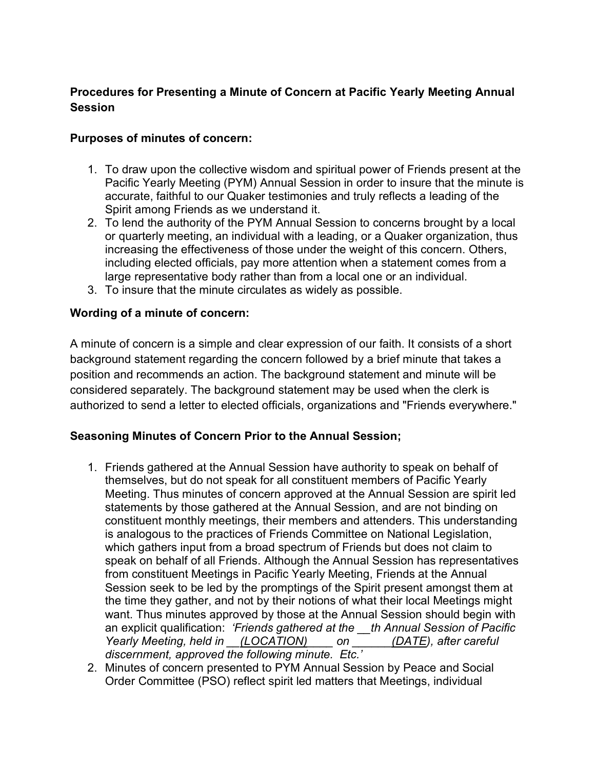# **Procedures for Presenting a Minute of Concern at Pacific Yearly Meeting Annual Session**

#### **Purposes of minutes of concern:**

- 1. To draw upon the collective wisdom and spiritual power of Friends present at the Pacific Yearly Meeting (PYM) Annual Session in order to insure that the minute is accurate, faithful to our Quaker testimonies and truly reflects a leading of the Spirit among Friends as we understand it.
- 2. To lend the authority of the PYM Annual Session to concerns brought by a local or quarterly meeting, an individual with a leading, or a Quaker organization, thus increasing the effectiveness of those under the weight of this concern. Others, including elected officials, pay more attention when a statement comes from a large representative body rather than from a local one or an individual.
- 3. To insure that the minute circulates as widely as possible.

### **Wording of a minute of concern:**

A minute of concern is a simple and clear expression of our faith. It consists of a short background statement regarding the concern followed by a brief minute that takes a position and recommends an action. The background statement and minute will be considered separately. The background statement may be used when the clerk is authorized to send a letter to elected officials, organizations and "Friends everywhere."

### **Seasoning Minutes of Concern Prior to the Annual Session;**

- 1. Friends gathered at the Annual Session have authority to speak on behalf of themselves, but do not speak for all constituent members of Pacific Yearly Meeting. Thus minutes of concern approved at the Annual Session are spirit led statements by those gathered at the Annual Session, and are not binding on constituent monthly meetings, their members and attenders. This understanding is analogous to the practices of Friends Committee on National Legislation, which gathers input from a broad spectrum of Friends but does not claim to speak on behalf of all Friends. Although the Annual Session has representatives from constituent Meetings in Pacific Yearly Meeting, Friends at the Annual Session seek to be led by the promptings of the Spirit present amongst them at the time they gather, and not by their notions of what their local Meetings might want. Thus minutes approved by those at the Annual Session should begin with an explicit qualification: *'Friends gathered at the \_\_th Annual Session of Pacific Yearly Meeting, held in \_\_(LOCATION)\_\_\_\_ on \_\_\_\_\_\_(DATE), after careful discernment, approved the following minute. Etc.'*
- 2. Minutes of concern presented to PYM Annual Session by Peace and Social Order Committee (PSO) reflect spirit led matters that Meetings, individual